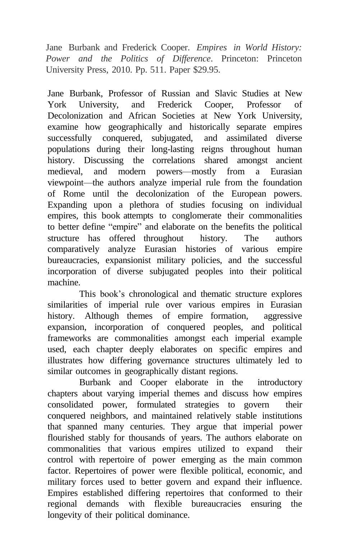Jane Burbank and Frederick Cooper. *Empires in World History: Power and the Politics of Difference*. Princeton: Princeton University Press, 2010. Pp. 511. Paper \$29.95.

Jane Burbank, Professor of Russian and Slavic Studies at New York University, and Frederick Cooper, Professor of Decolonization and African Societies at New York University, examine how geographically and historically separate empires successfully conquered, subjugated, and assimilated diverse populations during their long-lasting reigns throughout human history. Discussing the correlations shared amongst ancient medieval, and modern powers—mostly from a Eurasian viewpoint—the authors analyze imperial rule from the foundation of Rome until the decolonization of the European powers. Expanding upon a plethora of studies focusing on individual empires, this book attempts to conglomerate their commonalities to better define "empire" and elaborate on the benefits the political structure has offered throughout history. The authors comparatively analyze Eurasian histories of various empire bureaucracies, expansionist military policies, and the successful incorporation of diverse subjugated peoples into their political machine.

This book's chronological and thematic structure explores similarities of imperial rule over various empires in Eurasian history. Although themes of empire formation, aggressive expansion, incorporation of conquered peoples, and political frameworks are commonalities amongst each imperial example used, each chapter deeply elaborates on specific empires and illustrates how differing governance structures ultimately led to similar outcomes in geographically distant regions.

Burbank and Cooper elaborate in the introductory chapters about varying imperial themes and discuss how empires consolidated power, formulated strategies to govern their conquered neighbors, and maintained relatively stable institutions that spanned many centuries. They argue that imperial power flourished stably for thousands of years. The authors elaborate on commonalities that various empires utilized to expand their control with repertoire of power emerging as the main common factor. Repertoires of power were flexible political, economic, and military forces used to better govern and expand their influence. Empires established differing repertoires that conformed to their regional demands with flexible bureaucracies ensuring the longevity of their political dominance.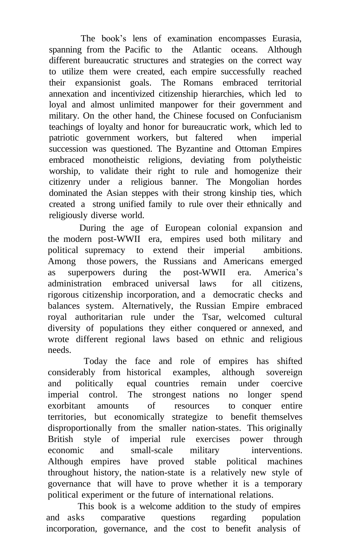The book's lens of examination encompasses Eurasia, spanning from the Pacific to the Atlantic oceans. Although different bureaucratic structures and strategies on the correct way to utilize them were created, each empire successfully reached their expansionist goals. The Romans embraced territorial annexation and incentivized citizenship hierarchies, which led to loyal and almost unlimited manpower for their government and military. On the other hand, the Chinese focused on Confucianism teachings of loyalty and honor for bureaucratic work, which led to patriotic government workers, but faltered when imperial succession was questioned. The Byzantine and Ottoman Empires embraced monotheistic religions, deviating from polytheistic worship, to validate their right to rule and homogenize their citizenry under a religious banner. The Mongolian hordes dominated the Asian steppes with their strong kinship ties, which created a strong unified family to rule over their ethnically and religiously diverse world.

During the age of European colonial expansion and the modern post-WWII era, empires used both military and political supremacy to extend their imperial ambitions. Among those powers, the Russians and Americans emerged as superpowers during the post-WWII era. America's administration embraced universal laws for all citizens, rigorous citizenship incorporation, and a democratic checks and balances system. Alternatively, the Russian Empire embraced royal authoritarian rule under the Tsar, welcomed cultural diversity of populations they either conquered or annexed, and wrote different regional laws based on ethnic and religious needs.

Today the face and role of empires has shifted considerably from historical examples, although sovereign and politically equal countries remain under coercive imperial control. The strongest nations no longer spend exorbitant amounts of resources to conquer entire territories, but economically strategize to benefit themselves disproportionally from the smaller nation-states. This originally British style of imperial rule exercises power through economic and small-scale military interventions. Although empires have proved stable political machines throughout history, the nation-state is a relatively new style of governance that will have to prove whether it is a temporary political experiment or the future of international relations.

This book is a welcome addition to the study of empires and asks comparative questions regarding population incorporation, governance, and the cost to benefit analysis of